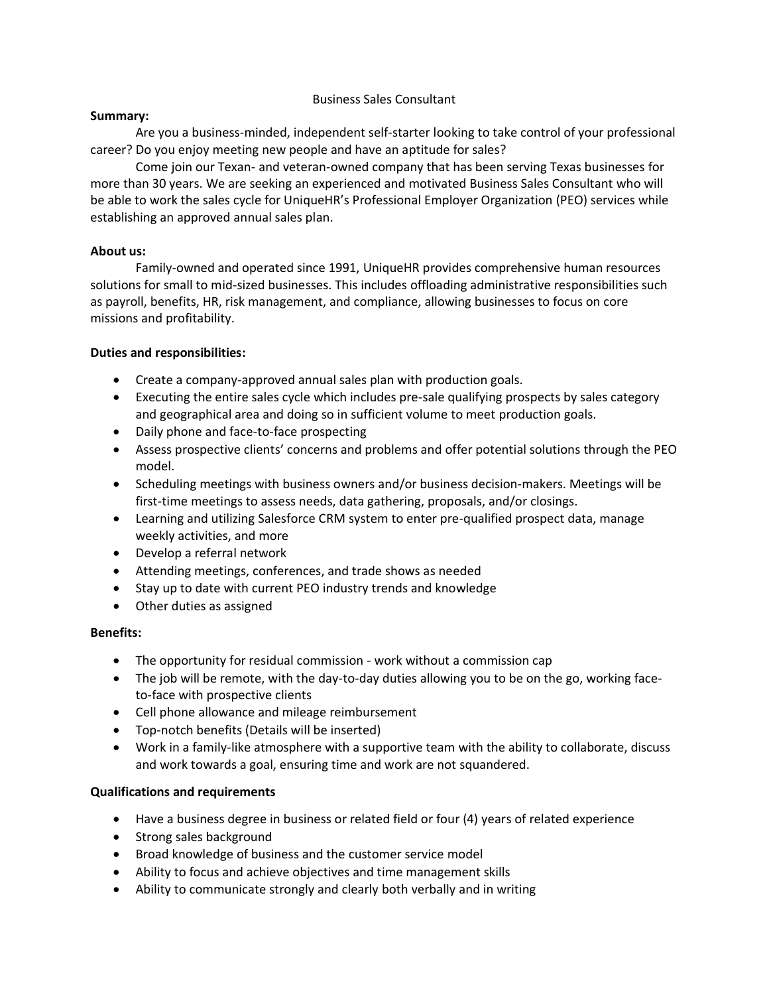# Business Sales Consultant

## **Summary:**

Are you a business-minded, independent self-starter looking to take control of your professional career? Do you enjoy meeting new people and have an aptitude for sales?

Come join our Texan- and veteran-owned company that has been serving Texas businesses for more than 30 years. We are seeking an experienced and motivated Business Sales Consultant who will be able to work the sales cycle for UniqueHR's Professional Employer Organization (PEO) services while establishing an approved annual sales plan.

## **About us:**

Family-owned and operated since 1991, UniqueHR provides comprehensive human resources solutions for small to mid-sized businesses. This includes offloading administrative responsibilities such as payroll, benefits, HR, risk management, and compliance, allowing businesses to focus on core missions and profitability.

# **Duties and responsibilities:**

- Create a company-approved annual sales plan with production goals.
- Executing the entire sales cycle which includes pre-sale qualifying prospects by sales category and geographical area and doing so in sufficient volume to meet production goals.
- Daily phone and face-to-face prospecting
- Assess prospective clients' concerns and problems and offer potential solutions through the PEO model.
- Scheduling meetings with business owners and/or business decision-makers. Meetings will be first-time meetings to assess needs, data gathering, proposals, and/or closings.
- Learning and utilizing Salesforce CRM system to enter pre-qualified prospect data, manage weekly activities, and more
- Develop a referral network
- Attending meetings, conferences, and trade shows as needed
- Stay up to date with current PEO industry trends and knowledge
- Other duties as assigned

# **Benefits:**

- The opportunity for residual commission work without a commission cap
- The job will be remote, with the day-to-day duties allowing you to be on the go, working faceto-face with prospective clients
- Cell phone allowance and mileage reimbursement
- Top-notch benefits (Details will be inserted)
- Work in a family-like atmosphere with a supportive team with the ability to collaborate, discuss and work towards a goal, ensuring time and work are not squandered.

# **Qualifications and requirements**

- Have a business degree in business or related field or four (4) years of related experience
- Strong sales background
- Broad knowledge of business and the customer service model
- Ability to focus and achieve objectives and time management skills
- Ability to communicate strongly and clearly both verbally and in writing